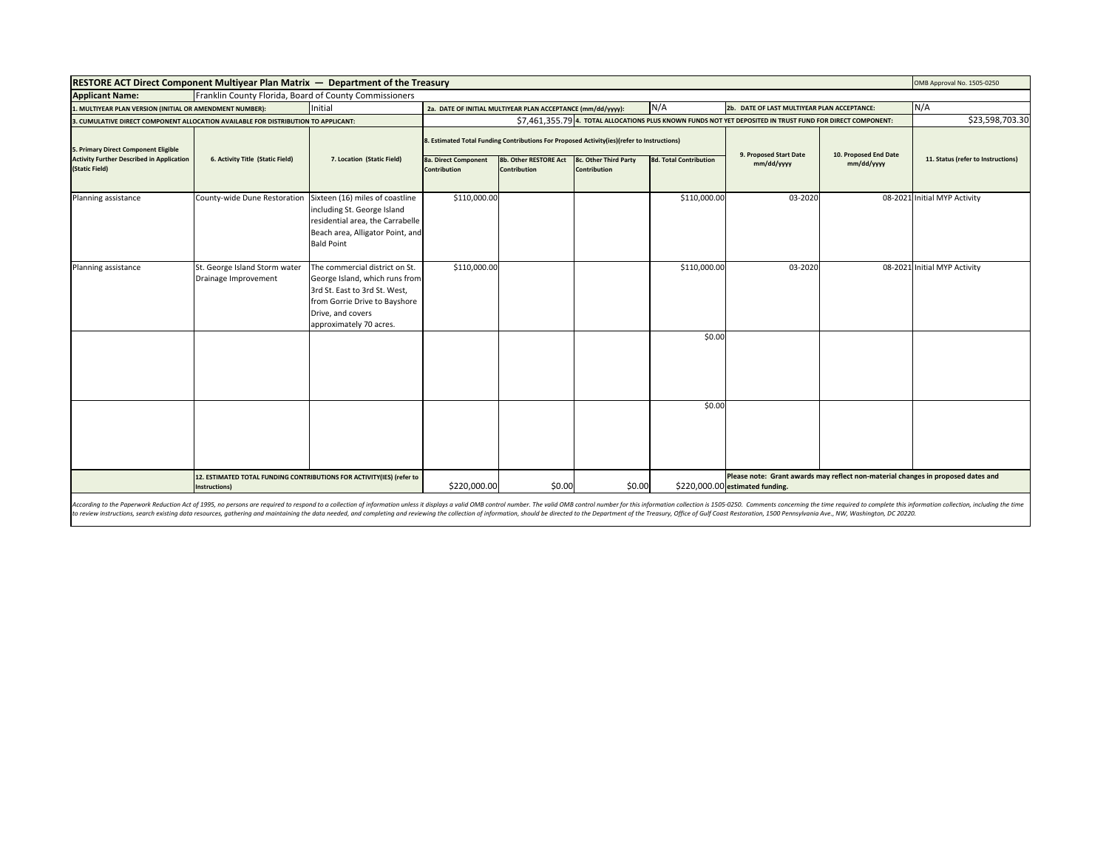| RESTORE ACT Direct Component Multiyear Plan Matrix - Department of the Treasury                            |                                                                                        |                                                                                                                                                                                    |                                                                                            |                                                             |                                       |                               |                                                                                                                     | OMB Approval No. 1505-0250 |                                    |
|------------------------------------------------------------------------------------------------------------|----------------------------------------------------------------------------------------|------------------------------------------------------------------------------------------------------------------------------------------------------------------------------------|--------------------------------------------------------------------------------------------|-------------------------------------------------------------|---------------------------------------|-------------------------------|---------------------------------------------------------------------------------------------------------------------|----------------------------|------------------------------------|
| Franklin County Florida, Board of County Commissioners<br><b>Applicant Name:</b>                           |                                                                                        |                                                                                                                                                                                    |                                                                                            |                                                             |                                       |                               |                                                                                                                     |                            |                                    |
| I. MULTIYEAR PLAN VERSION (INITIAL OR AMENDMENT NUMBER):                                                   |                                                                                        | Initial                                                                                                                                                                            |                                                                                            | 2a. DATE OF INITIAL MULTIYEAR PLAN ACCEPTANCE (mm/dd/yyyy): |                                       | N/A                           | 2b. DATE OF LAST MULTIYEAR PLAN ACCEPTANCE:                                                                         |                            | N/A                                |
| 3. CUMULATIVE DIRECT COMPONENT ALLOCATION AVAILABLE FOR DISTRIBUTION TO APPLICANT:                         |                                                                                        |                                                                                                                                                                                    |                                                                                            |                                                             |                                       |                               | \$7,461,355.79 4. TOTAL ALLOCATIONS PLUS KNOWN FUNDS NOT YET DEPOSITED IN TRUST FUND FOR DIRECT COMPONENT:          |                            | \$23,598,703.30                    |
| 5. Primary Direct Component Eligible<br><b>Activity Further Described in Application</b><br>(Static Field) | 6. Activity Title (Static Field)                                                       | 7. Location (Static Field)                                                                                                                                                         | 8. Estimated Total Funding Contributions For Proposed Activity(ies)(refer to Instructions) |                                                             |                                       |                               | 9. Proposed Start Date                                                                                              | 10. Proposed End Date      |                                    |
|                                                                                                            |                                                                                        |                                                                                                                                                                                    | 8a. Direct Component<br><b>Contribution</b>                                                | 8b. Other RESTORE Act<br><b>Contribution</b>                | 8c. Other Third Party<br>Contribution | <b>8d. Total Contribution</b> | mm/dd/yyyy                                                                                                          | mm/dd/yyyy                 | 11. Status (refer to Instructions) |
| Planning assistance                                                                                        | County-wide Dune Restoration                                                           | Sixteen (16) miles of coastline<br>including St. George Island<br>residential area, the Carrabelle<br>Beach area, Alligator Point, and<br><b>Bald Point</b>                        | \$110,000.00                                                                               |                                                             |                                       | \$110,000.00                  | 03-2020                                                                                                             |                            | 08-2021 Initial MYP Activity       |
| Planning assistance                                                                                        | St. George Island Storm water<br>Drainage Improvement                                  | The commercial district on St.<br>George Island, which runs from<br>3rd St. East to 3rd St. West,<br>from Gorrie Drive to Bayshore<br>Drive, and covers<br>approximately 70 acres. | \$110,000.00                                                                               |                                                             |                                       | \$110,000.00                  | 03-2020                                                                                                             |                            | 08-2021 Initial MYP Activity       |
|                                                                                                            |                                                                                        |                                                                                                                                                                                    |                                                                                            |                                                             |                                       | \$0.00                        |                                                                                                                     |                            |                                    |
|                                                                                                            |                                                                                        |                                                                                                                                                                                    |                                                                                            |                                                             |                                       | \$0.00                        |                                                                                                                     |                            |                                    |
|                                                                                                            | 12. ESTIMATED TOTAL FUNDING CONTRIBUTIONS FOR ACTIVITY(IES) (refer to<br>Instructions) |                                                                                                                                                                                    | \$220,000.00                                                                               | \$0.00                                                      | \$0.00                                |                               | Please note: Grant awards may reflect non-material changes in proposed dates and<br>\$220,000.00 estimated funding. |                            |                                    |

According to the Paperwork Reduction Act of 1995, no persons are required to respond to a collection of information unless it displays a valid OMB control number. The valid OMB control number for this information collectio to review instructions, search existing data resources, gathering and maintaining the data needed, and completing and reviewing the collection of information, should be directed to the Department of the Treasury, Office of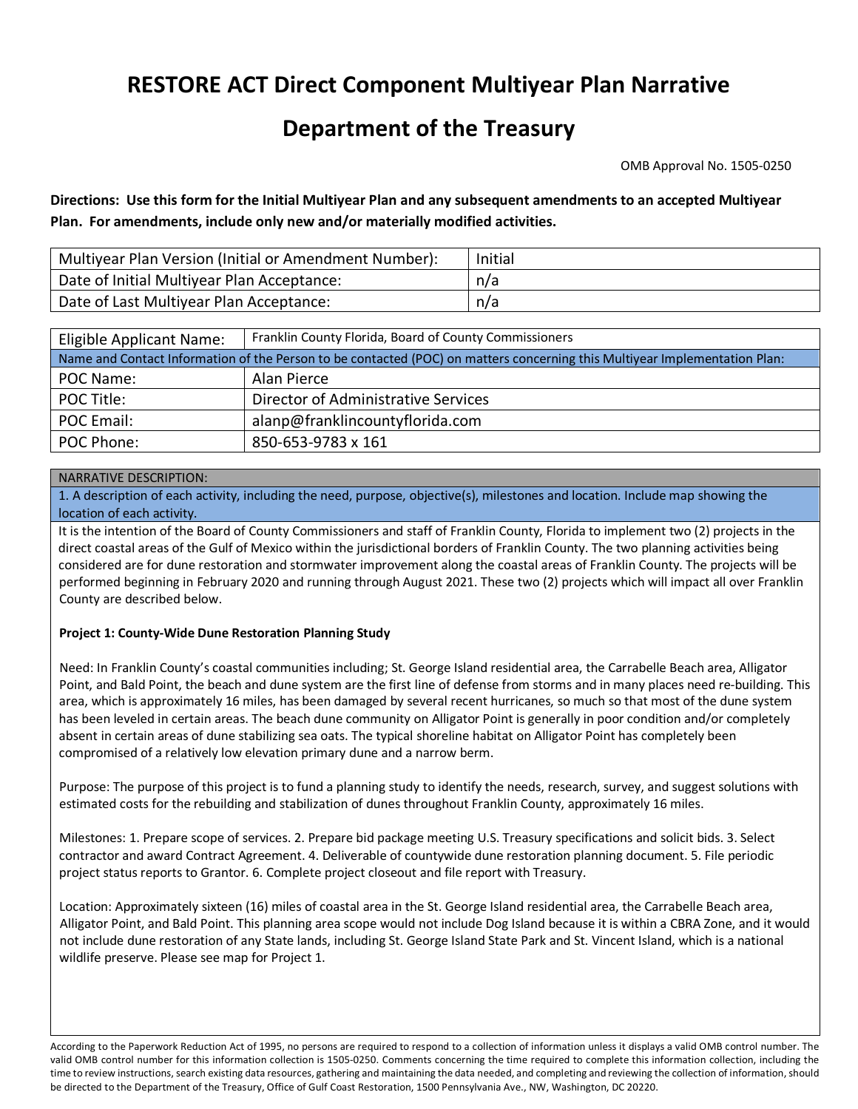# **RESTORE ACT Direct Component Multiyear Plan Narrative**

# **Department of the Treasury**

OMB Approval No. 1505-0250

# **Directions: Use this form for the Initial Multiyear Plan and any subsequent amendments to an accepted Multiyear Plan. For amendments, include only new and/or materially modified activities.**

| Multiyear Plan Version (Initial or Amendment Number): | Initial |
|-------------------------------------------------------|---------|
| Date of Initial Multiyear Plan Acceptance:            | n/a     |
| Date of Last Multiyear Plan Acceptance:               | n/a     |

| Eligible Applicant Name:                                                                                                   | Franklin County Florida, Board of County Commissioners |  |  |  |  |
|----------------------------------------------------------------------------------------------------------------------------|--------------------------------------------------------|--|--|--|--|
| Name and Contact Information of the Person to be contacted (POC) on matters concerning this Multiyear Implementation Plan: |                                                        |  |  |  |  |
| POC Name:                                                                                                                  | Alan Pierce                                            |  |  |  |  |
| POC Title:                                                                                                                 | Director of Administrative Services                    |  |  |  |  |
| POC Email:                                                                                                                 | alanp@franklincountyflorida.com                        |  |  |  |  |
| POC Phone:                                                                                                                 | 850-653-9783 x 161                                     |  |  |  |  |

# NARRATIVE DESCRIPTION:

1. A description of each activity, including the need, purpose, objective(s), milestones and location. Include map showing the location of each activity.

It is the intention of the Board of County Commissioners and staff of Franklin County, Florida to implement two (2) projects in the direct coastal areas of the Gulf of Mexico within the jurisdictional borders of Franklin County. The two planning activities being considered are for dune restoration and stormwater improvement along the coastal areas of Franklin County. The projects will be performed beginning in February 2020 and running through August 2021. These two (2) projects which will impact all over Franklin County are described below.

## **Project 1: County-Wide Dune Restoration Planning Study**

Need: In Franklin County's coastal communities including; St. George Island residential area, the Carrabelle Beach area, Alligator Point, and Bald Point, the beach and dune system are the first line of defense from storms and in many places need re-building. This area, which is approximately 16 miles, has been damaged by several recent hurricanes, so much so that most of the dune system has been leveled in certain areas. The beach dune community on Alligator Point is generally in poor condition and/or completely absent in certain areas of dune stabilizing sea oats. The typical shoreline habitat on Alligator Point has completely been compromised of a relatively low elevation primary dune and a narrow berm.

Purpose: The purpose of this project is to fund a planning study to identify the needs, research, survey, and suggest solutions with estimated costs for the rebuilding and stabilization of dunes throughout Franklin County, approximately 16 miles.

Milestones: 1. Prepare scope of services. 2. Prepare bid package meeting U.S. Treasury specifications and solicit bids. 3. Select contractor and award Contract Agreement. 4. Deliverable of countywide dune restoration planning document. 5. File periodic project status reports to Grantor. 6. Complete project closeout and file report with Treasury.

Location: Approximately sixteen (16) miles of coastal area in the St. George Island residential area, the Carrabelle Beach area, Alligator Point, and Bald Point. This planning area scope would not include Dog Island because it is within a CBRA Zone, and it would not include dune restoration of any State lands, including St. George Island State Park and St. Vincent Island, which is a national wildlife preserve. Please see map for Project 1.

According to the Paperwork Reduction Act of 1995, no persons are required to respond to a collection of information unless it displays a valid OMB control number. The valid OMB control number for this information collection is 1505-0250. Comments concerning the time required to complete this information collection, including the time to review instructions, search existing data resources, gathering and maintaining the data needed, and completing and reviewing the collection of information, should be directed to the Department of the Treasury, Office of Gulf Coast Restoration, 1500 Pennsylvania Ave., NW, Washington, DC 20220.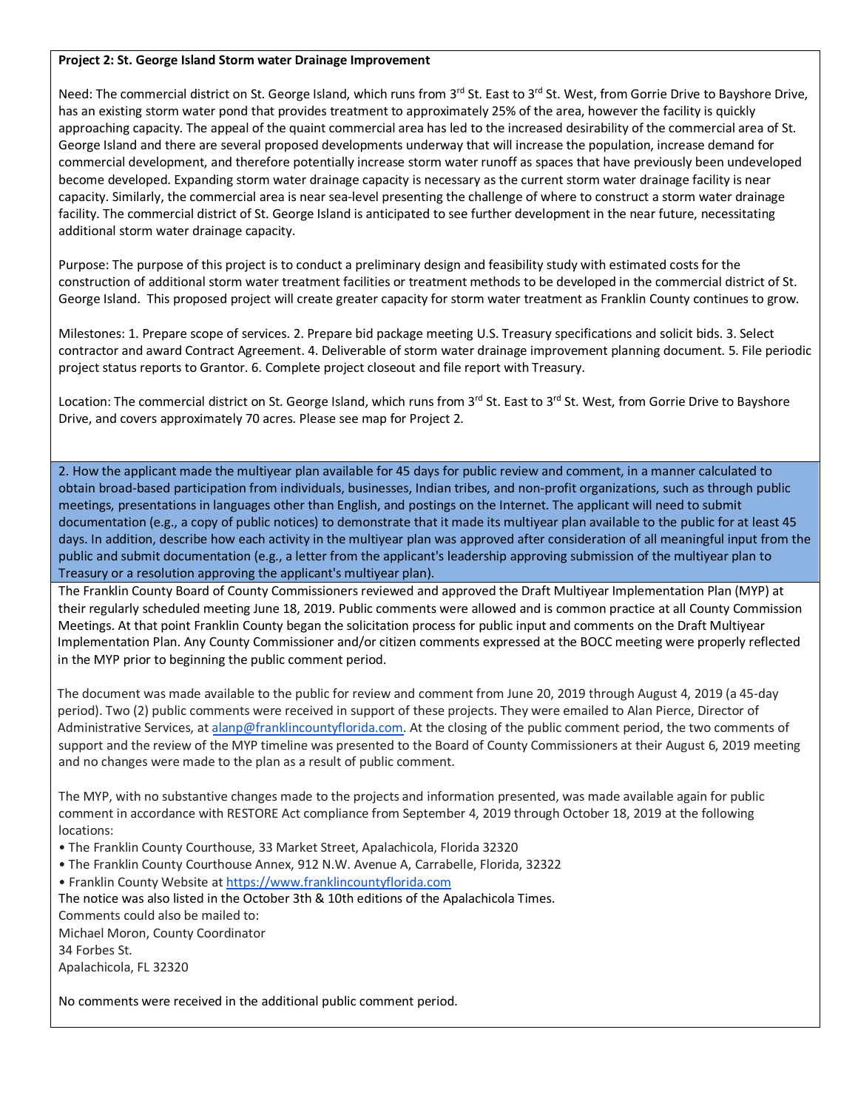#### **Project 2: St. George Island Storm water Drainage Improvement**

Need: The commercial district on St. George Island, which runs from 3<sup>rd</sup> St. East to 3<sup>rd</sup> St. West, from Gorrie Drive to Bayshore Drive, has an existing storm water pond that provides treatment to approximately 25% of the area, however the facility is quickly approaching capacity. The appeal of the quaint commercial area has led to the increased desirability of the commercial area of St. George Island and there are several proposed developments underway that will increase the population, increase demand for commercial development, and therefore potentially increase storm water runoff as spaces that have previously been undeveloped become developed. Expanding storm water drainage capacity is necessary as the current storm water drainage facility is near capacity. Similarly, the commercial area is near sea-level presenting the challenge of where to construct a storm water drainage facility. The commercial district of St. George Island is anticipated to see further development in the near future, necessitating additional storm water drainage capacity.

Purpose: The purpose of this project is to conduct a preliminary design and feasibility study with estimated costs for the construction of additional storm water treatment facilities or treatment methods to be developed in the commercial district of St. George Island. This proposed project will create greater capacity for storm water treatment as Franklin County continues to grow.

Milestones: 1. Prepare scope of services. 2. Prepare bid package meeting U.S. Treasury specifications and solicit bids. 3. Select contractor and award Contract Agreement. 4. Deliverable of storm water drainage improvement planning document. 5. File periodic project status reports to Grantor. 6. Complete project closeout and file report with Treasury.

Location: The commercial district on St. George Island, which runs from 3<sup>rd</sup> St. East to 3<sup>rd</sup> St. West, from Gorrie Drive to Bayshore Drive, and covers approximately 70 acres. Please see map for Project 2.

2. How the applicant made the multiyear plan available for 45 days for public review and comment, in a manner calculated to obtain broad-based participation from individuals, businesses, Indian tribes, and non-profit organizations, such as through public meetings, presentations in languages other than English, and postings on the Internet. The applicant will need to submit documentation (e.g., a copy of public notices) to demonstrate that it made its multiyear plan available to the public for at least 45 days. In addition, describe how each activity in the multiyear plan was approved after consideration of all meaningful input from the public and submit documentation (e.g., a letter from the applicant's leadership approving submission of the multiyear plan to Treasury or a resolution approving the applicant's multiyear plan).

The Franklin County Board of County Commissioners reviewed and approved the Draft Multiyear Implementation Plan (MYP) at their regularly scheduled meeting June 18, 2019. Public comments were allowed and is common practice at all County Commission Meetings. At that point Franklin County began the solicitation process for public input and comments on the Draft Multiyear Implementation Plan. Any County Commissioner and/or citizen comments expressed at the BOCC meeting were properly reflected in the MYP prior to beginning the public comment period.

The document was made available to the public for review and comment from June 20, 2019 through August 4, 2019 (a 45-day period). Two (2) public comments were received in support of these projects. They were emailed to Alan Pierce, Director of Administrative Services, at alanp@franklincountyflorida.com. At the closing of the public comment period, the two comments of support and the review of the MYP timeline was presented to the Board of County Commissioners at their August 6, 2019 meeting and no changes were made to the plan as a result of public comment.

The MYP, with no substantive changes made to the projects and information presented, was made available again for public comment in accordance with RESTORE Act compliance from September 4, 2019 through October 18, 2019 at the following locations:

• The Franklin County Courthouse, 33 Market Street, Apalachicola, Florida 32320

• The Franklin County Courthouse Annex, 912 N.W. Avenue A, Carrabelle, Florida, 32322

• Franklin County Website at https://www.franklincountyflorida.com

The notice was also listed in the October 3th & 10th editions of the Apalachicola Times. Comments could also be mailed to: Michael Moron, County Coordinator 34 Forbes St. Apalachicola, FL 32320

No comments were received in the additional public comment period.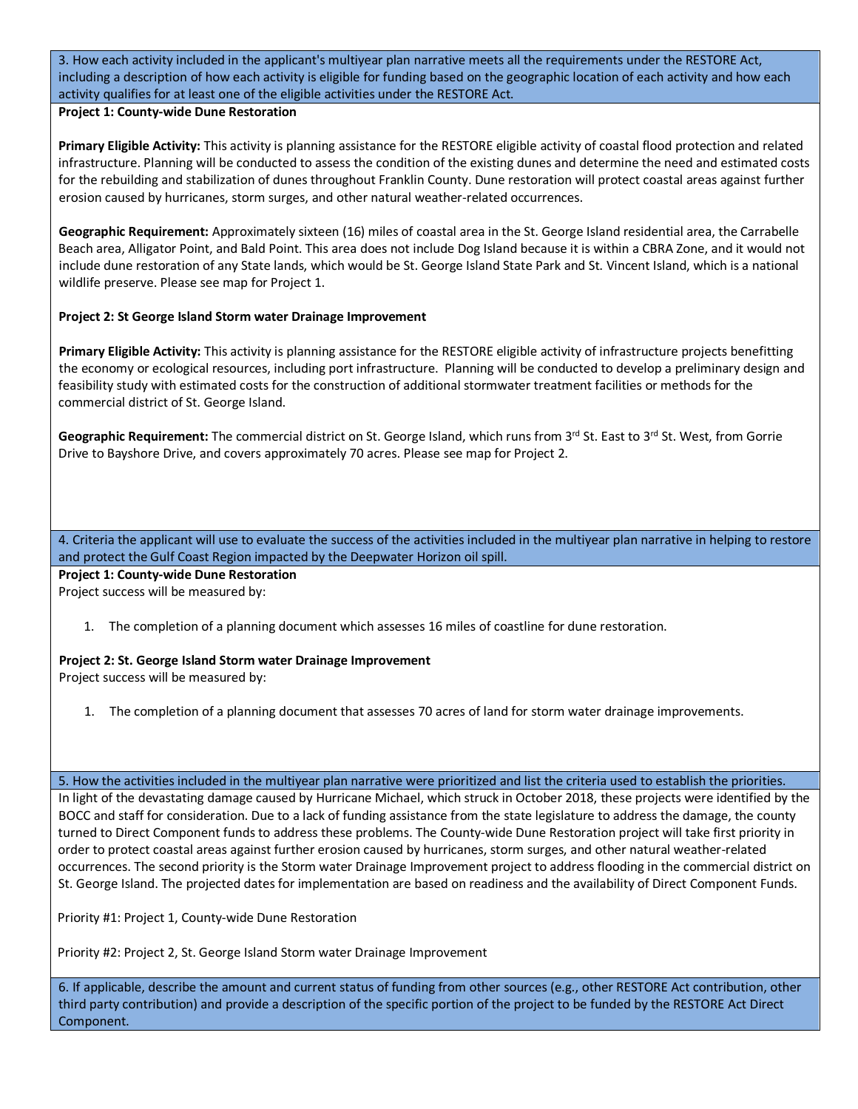3. How each activity included in the applicant's multiyear plan narrative meets all the requirements under the RESTORE Act, including a description of how each activity is eligible for funding based on the geographic location of each activity and how each activity qualifies for at least one of the eligible activities under the RESTORE Act.

## **Project 1: County-wide Dune Restoration**

**Primary Eligible Activity:** This activity is planning assistance for the RESTORE eligible activity of coastal flood protection and related infrastructure. Planning will be conducted to assess the condition of the existing dunes and determine the need and estimated costs for the rebuilding and stabilization of dunes throughout Franklin County. Dune restoration will protect coastal areas against further erosion caused by hurricanes, storm surges, and other natural weather-related occurrences.

**Geographic Requirement:** Approximately sixteen (16) miles of coastal area in the St. George Island residential area, the Carrabelle Beach area, Alligator Point, and Bald Point. This area does not include Dog Island because it is within a CBRA Zone, and it would not include dune restoration of any State lands, which would be St. George Island State Park and St. Vincent Island, which is a national wildlife preserve. Please see map for Project 1.

# **Project 2: St George Island Storm water Drainage Improvement**

**Primary Eligible Activity:** This activity is planning assistance for the RESTORE eligible activity of infrastructure projects benefitting the economy or ecological resources, including port infrastructure. Planning will be conducted to develop a preliminary design and feasibility study with estimated costs for the construction of additional stormwater treatment facilities or methods for the commercial district of St. George Island.

Geographic Requirement: The commercial district on St. George Island, which runs from 3<sup>rd</sup> St. East to 3<sup>rd</sup> St. West, from Gorrie Drive to Bayshore Drive, and covers approximately 70 acres. Please see map for Project 2.

4. Criteria the applicant will use to evaluate the success of the activities included in the multiyear plan narrative in helping to restore and protect the Gulf Coast Region impacted by the Deepwater Horizon oil spill.

**Project 1: County-wide Dune Restoration** Project success will be measured by:

1. The completion of a planning document which assesses 16 miles of coastline for dune restoration.

## **Project 2: St. George Island Storm water Drainage Improvement**

Project success will be measured by:

1. The completion of a planning document that assesses 70 acres of land for storm water drainage improvements.

5. How the activities included in the multiyear plan narrative were prioritized and list the criteria used to establish the priorities.

In light of the devastating damage caused by Hurricane Michael, which struck in October 2018, these projects were identified by the BOCC and staff for consideration. Due to a lack of funding assistance from the state legislature to address the damage, the county turned to Direct Component funds to address these problems. The County-wide Dune Restoration project will take first priority in order to protect coastal areas against further erosion caused by hurricanes, storm surges, and other natural weather-related occurrences. The second priority is the Storm water Drainage Improvement project to address flooding in the commercial district on St. George Island. The projected dates for implementation are based on readiness and the availability of Direct Component Funds.

Priority #1: Project 1, County-wide Dune Restoration

Priority #2: Project 2, St. George Island Storm water Drainage Improvement

6. If applicable, describe the amount and current status of funding from other sources (e.g., other RESTORE Act contribution, other third party contribution) and provide a description of the specific portion of the project to be funded by the RESTORE Act Direct Component.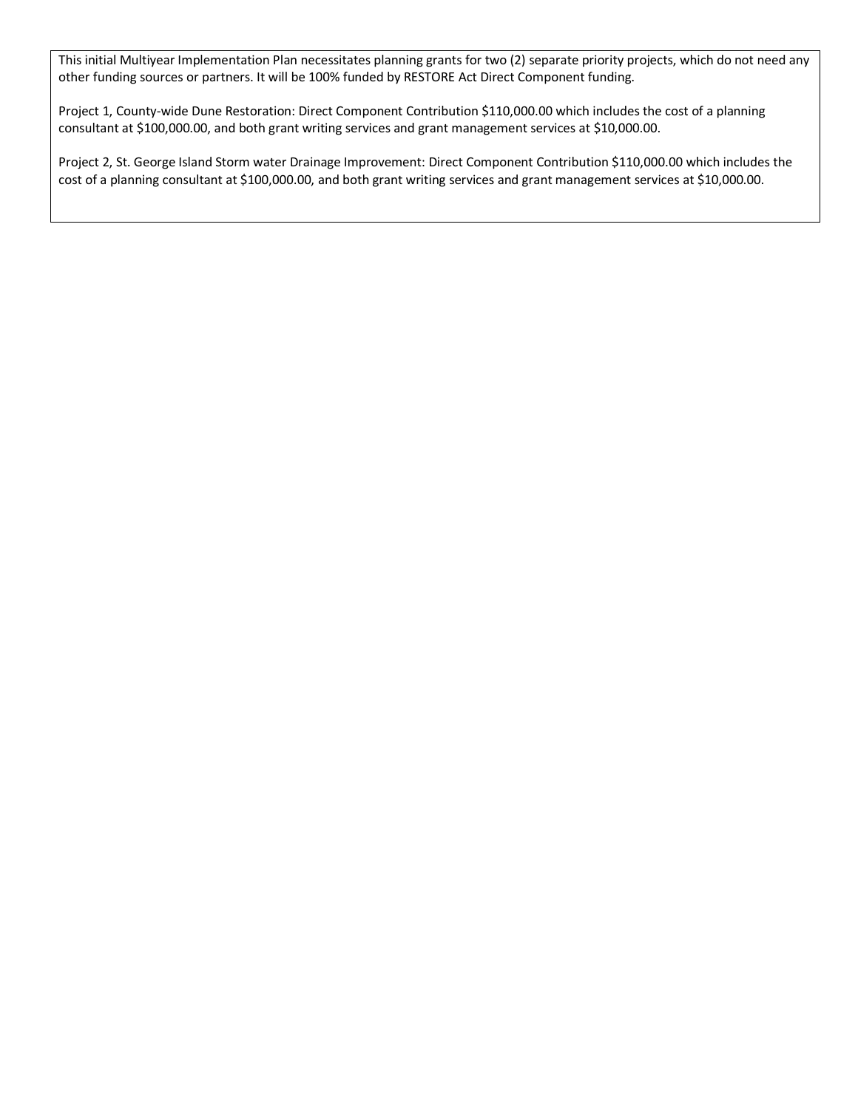This initial Multiyear Implementation Plan necessitates planning grants for two (2) separate priority projects, which do not need any other funding sources or partners. It will be 100% funded by RESTORE Act Direct Component funding.

Project 1, County-wide Dune Restoration: Direct Component Contribution \$110,000.00 which includes the cost of a planning consultant at \$100,000.00, and both grant writing services and grant management services at \$10,000.00.

Project 2, St. George Island Storm water Drainage Improvement: Direct Component Contribution \$110,000.00 which includes the cost of a planning consultant at \$100,000.00, and both grant writing services and grant management services at \$10,000.00.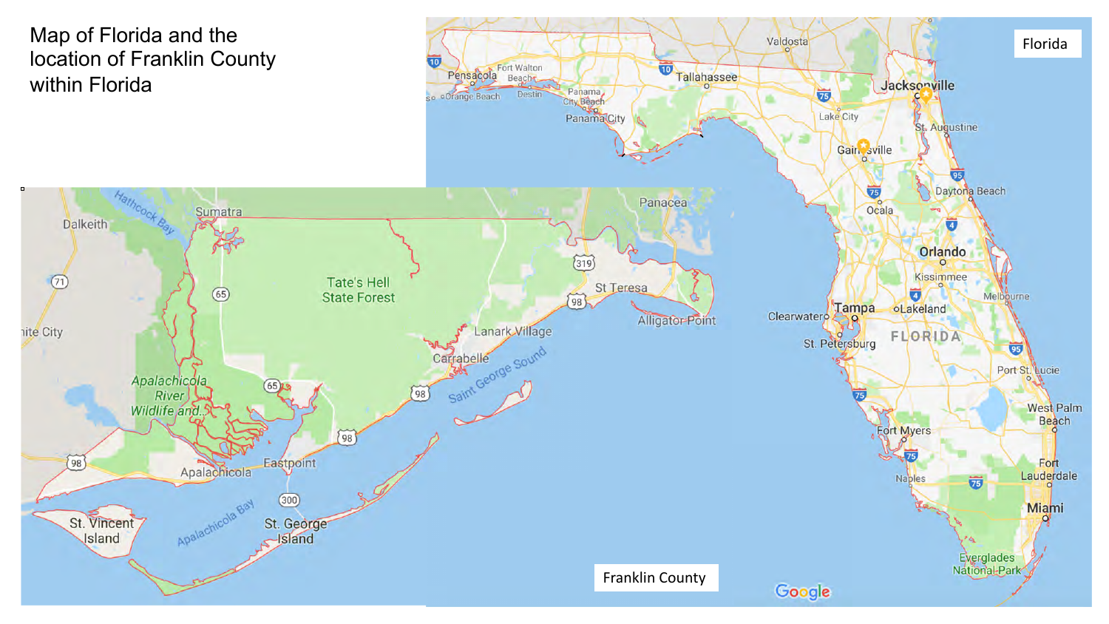Map of Florida and the location of Franklin County within Florida

hite City

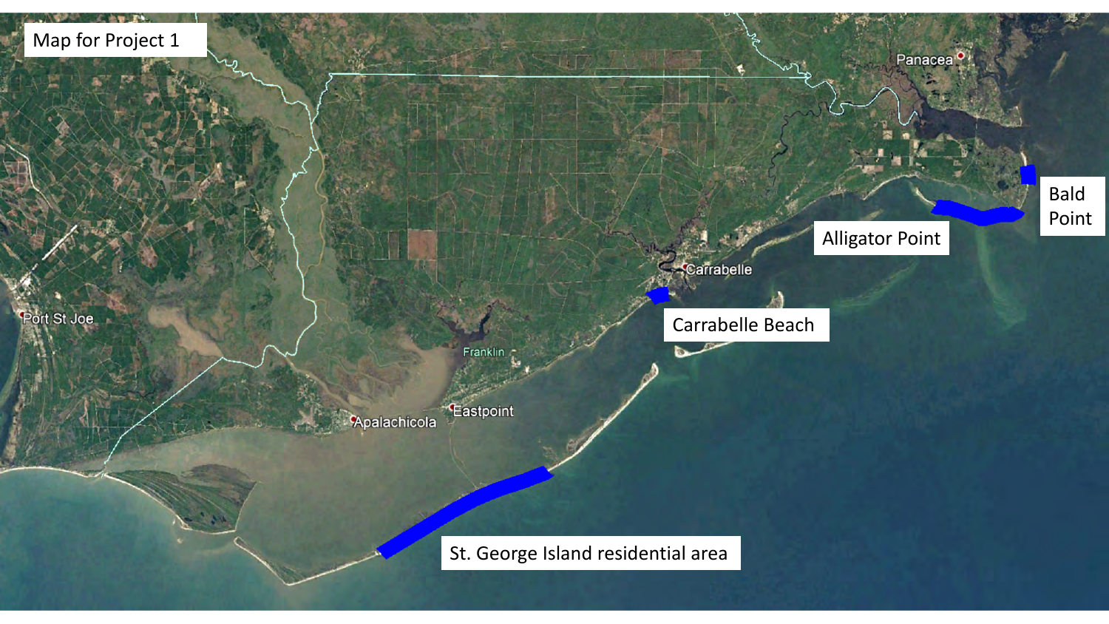